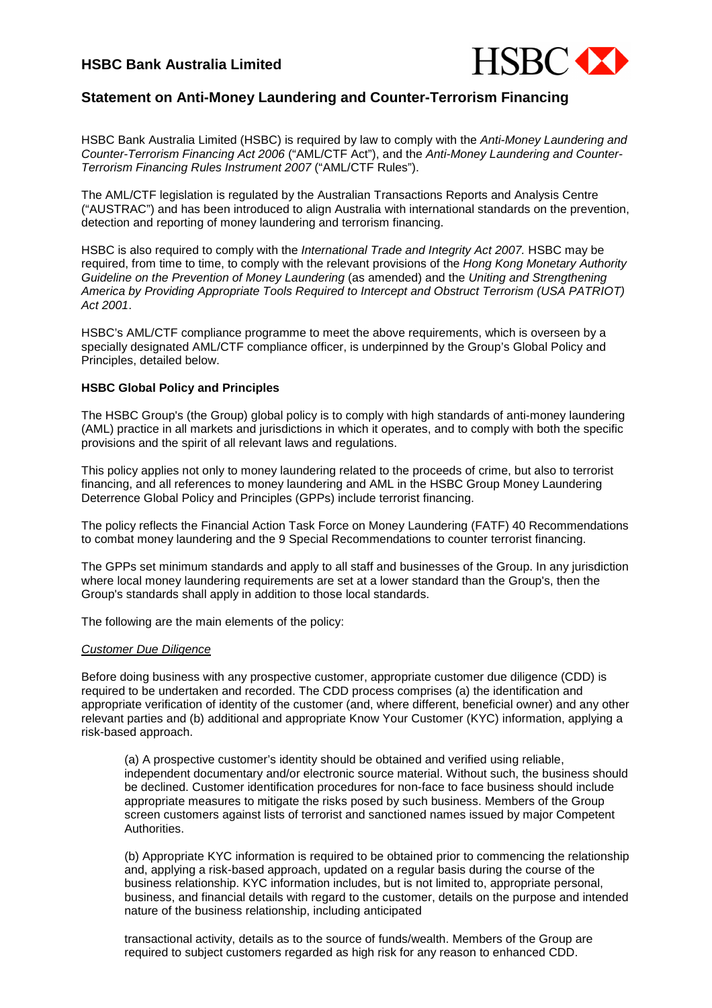# **HSBC Bank Australia Limited**



# **Statement on Anti-Money Laundering and Counter-Terrorism Financing**

HSBC Bank Australia Limited (HSBC) is required by law to comply with the Anti-Money Laundering and Counter-Terrorism Financing Act 2006 ("AML/CTF Act"), and the Anti-Money Laundering and Counter-Terrorism Financing Rules Instrument 2007 ("AML/CTF Rules").

The AML/CTF legislation is regulated by the Australian Transactions Reports and Analysis Centre ("AUSTRAC") and has been introduced to align Australia with international standards on the prevention, detection and reporting of money laundering and terrorism financing.

HSBC is also required to comply with the International Trade and Integrity Act 2007. HSBC may be required, from time to time, to comply with the relevant provisions of the Hong Kong Monetary Authority Guideline on the Prevention of Money Laundering (as amended) and the Uniting and Strengthening America by Providing Appropriate Tools Required to Intercept and Obstruct Terrorism (USA PATRIOT) Act 2001.

HSBC's AML/CTF compliance programme to meet the above requirements, which is overseen by a specially designated AML/CTF compliance officer, is underpinned by the Group's Global Policy and Principles, detailed below.

### **HSBC Global Policy and Principles**

The HSBC Group's (the Group) global policy is to comply with high standards of anti-money laundering (AML) practice in all markets and jurisdictions in which it operates, and to comply with both the specific provisions and the spirit of all relevant laws and regulations.

This policy applies not only to money laundering related to the proceeds of crime, but also to terrorist financing, and all references to money laundering and AML in the HSBC Group Money Laundering Deterrence Global Policy and Principles (GPPs) include terrorist financing.

The policy reflects the Financial Action Task Force on Money Laundering (FATF) 40 Recommendations to combat money laundering and the 9 Special Recommendations to counter terrorist financing.

The GPPs set minimum standards and apply to all staff and businesses of the Group. In any jurisdiction where local money laundering requirements are set at a lower standard than the Group's, then the Group's standards shall apply in addition to those local standards.

The following are the main elements of the policy:

### Customer Due Diligence

Before doing business with any prospective customer, appropriate customer due diligence (CDD) is required to be undertaken and recorded. The CDD process comprises (a) the identification and appropriate verification of identity of the customer (and, where different, beneficial owner) and any other relevant parties and (b) additional and appropriate Know Your Customer (KYC) information, applying a risk-based approach.

(a) A prospective customer's identity should be obtained and verified using reliable, independent documentary and/or electronic source material. Without such, the business should be declined. Customer identification procedures for non-face to face business should include appropriate measures to mitigate the risks posed by such business. Members of the Group screen customers against lists of terrorist and sanctioned names issued by major Competent Authorities.

(b) Appropriate KYC information is required to be obtained prior to commencing the relationship and, applying a risk-based approach, updated on a regular basis during the course of the business relationship. KYC information includes, but is not limited to, appropriate personal, business, and financial details with regard to the customer, details on the purpose and intended nature of the business relationship, including anticipated

transactional activity, details as to the source of funds/wealth. Members of the Group are required to subject customers regarded as high risk for any reason to enhanced CDD.